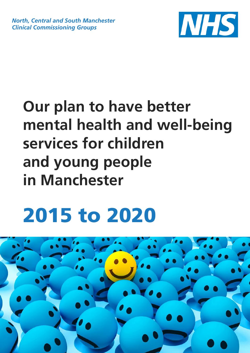*North, Central and South Manchester Clinical Commissioning Groups*



# **Our plan to have better mental health and well-being services for children and young people in Manchester**

# **2015 to 2020**

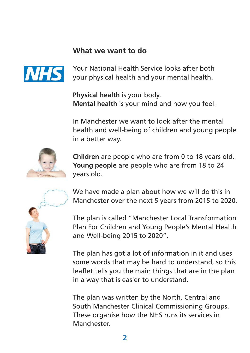#### **What we want to do**



Your National Health Service looks after both your physical health and your mental health.

**Physical health** is your body. **Mental health** is your mind and how you feel.

In Manchester we want to look after the mental health and well-being of children and young people in a better way.



**Children** are people who are from 0 to 18 years old. **Young people** are people who are from 18 to 24 years old.



We have made a plan about how we will do this in Manchester over the next 5 years from 2015 to 2020.

The plan is called "Manchester Local Transformation Plan For Children and Young People's Mental Health and Well-being 2015 to 2020".

The plan has got a lot of information in it and uses some words that may be hard to understand, so this leaflet tells you the main things that are in the plan in a way that is easier to understand.

The plan was written by the North, Central and South Manchester Clinical Commissioning Groups. These organise how the NHS runs its services in Manchester.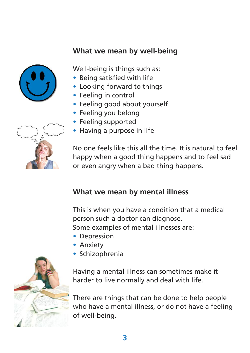#### **What we mean by well-being**



Well-being is things such as:

- Being satisfied with life
- Looking forward to things
- Feeling in control
- Feeling good about yourself
- Feeling you belong
- Feeling supported
- Having a purpose in life



No one feels like this all the time. It is natural to feel happy when a good thing happens and to feel sad or even angry when a bad thing happens.

#### **What we mean by mental illness**

This is when you have a condition that a medical person such a doctor can diagnose. Some examples of mental illnesses are:

- Depression
- Anxiety
- Schizophrenia



Having a mental illness can sometimes make it harder to live normally and deal with life.

There are things that can be done to help people who have a mental illness, or do not have a feeling of well-being.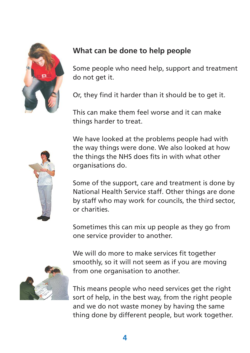

# **What can be done to help people**

Some people who need help, support and treatment do not get it.

Or, they find it harder than it should be to get it.

This can make them feel worse and it can make things harder to treat.

We have looked at the problems people had with the way things were done. We also looked at how the things the NHS does fits in with what other organisations do.



Some of the support, care and treatment is done by National Health Service staff. Other things are done by staff who may work for councils, the third sector, or charities.

Sometimes this can mix up people as they go from one service provider to another.



We will do more to make services fit together smoothly, so it will not seem as if you are moving from one organisation to another.

This means people who need services get the right sort of help, in the best way, from the right people and we do not waste money by having the same thing done by different people, but work together.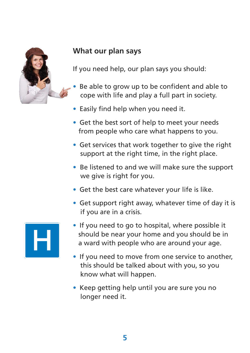

## **What our plan says**

If you need help, our plan says you should:

- Be able to grow up to be confident and able to cope with life and play a full part in society.
- Easily find help when you need it.
- Get the best sort of help to meet your needs from people who care what happens to you.
- Get services that work together to give the right support at the right time, in the right place.
- Be listened to and we will make sure the support we give is right for you.
- Get the best care whatever your life is like.
- Get support right away, whatever time of day it is if you are in a crisis.



- If you need to go to hospital, where possible it should be near your home and you should be in a ward with people who are around your age.
- If you need to move from one service to another, this should be talked about with you, so you know what will happen.
- Keep getting help until you are sure you no longer need it.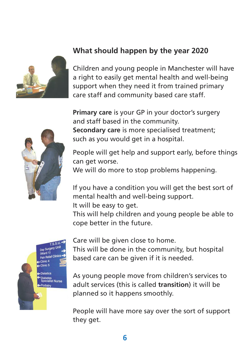

# **What should happen by the year 2020**

Children and young people in Manchester will have a right to easily get mental health and well-being support when they need it from trained primary care staff and community based care staff.

**Primary care** is your GP in your doctor's surgery and staff based in the community. **Secondary care** is more specialised treatment; such as you would get in a hospital.

People will get help and support early, before things can get worse.

We will do more to stop problems happening.

If you have a condition you will get the best sort of mental health and well-being support. It will be easy to get.

This will help children and young people be able to cope better in the future.



Care will be given close to home.

This will be done in the community, but hospital based care can be given if it is needed.

As young people move from children's services to adult services (this is called **transition**) it will be planned so it happens smoothly.

People will have more say over the sort of support they get.

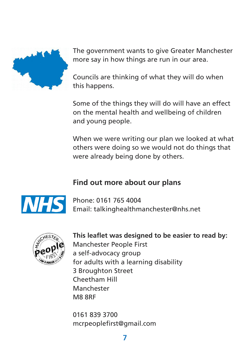

The government wants to give Greater Manchester more say in how things are run in our area.

Councils are thinking of what they will do when this happens.

Some of the things they will do will have an effect on the mental health and wellbeing of children and young people.

When we were writing our plan we looked at what others were doing so we would not do things that were already being done by others.

#### **Find out more about our plans**



Phone: 0161 765 4004 Email: talkinghealthmanchester@nhs.net



**This leaflet was designed to be easier to read by:** Manchester People First a self-advocacy group for adults with a learning disability 3 Broughton Street Cheetham Hill Manchester M8 8RF

0161 839 3700 mcrpeoplefirst@gmail.com